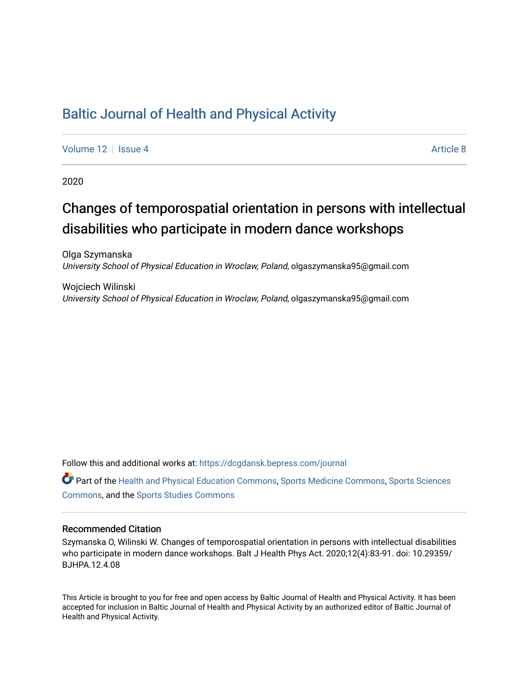## [Baltic Journal of Health and Physical Activity](https://dcgdansk.bepress.com/journal)

[Volume 12](https://dcgdansk.bepress.com/journal/vol12) | [Issue 4](https://dcgdansk.bepress.com/journal/vol12/iss4) Article 8

2020

## Changes of temporospatial orientation in persons with intellectual disabilities who participate in modern dance workshops

Olga Szymanska University School of Physical Education in Wroclaw, Poland, olgaszymanska95@gmail.com

Wojciech Wilinski University School of Physical Education in Wroclaw, Poland, olgaszymanska95@gmail.com

Follow this and additional works at: [https://dcgdansk.bepress.com/journal](https://dcgdansk.bepress.com/journal?utm_source=dcgdansk.bepress.com%2Fjournal%2Fvol12%2Fiss4%2F8&utm_medium=PDF&utm_campaign=PDFCoverPages)

Part of the [Health and Physical Education Commons](http://network.bepress.com/hgg/discipline/1327?utm_source=dcgdansk.bepress.com%2Fjournal%2Fvol12%2Fiss4%2F8&utm_medium=PDF&utm_campaign=PDFCoverPages), [Sports Medicine Commons,](http://network.bepress.com/hgg/discipline/1331?utm_source=dcgdansk.bepress.com%2Fjournal%2Fvol12%2Fiss4%2F8&utm_medium=PDF&utm_campaign=PDFCoverPages) [Sports Sciences](http://network.bepress.com/hgg/discipline/759?utm_source=dcgdansk.bepress.com%2Fjournal%2Fvol12%2Fiss4%2F8&utm_medium=PDF&utm_campaign=PDFCoverPages) [Commons](http://network.bepress.com/hgg/discipline/759?utm_source=dcgdansk.bepress.com%2Fjournal%2Fvol12%2Fiss4%2F8&utm_medium=PDF&utm_campaign=PDFCoverPages), and the [Sports Studies Commons](http://network.bepress.com/hgg/discipline/1198?utm_source=dcgdansk.bepress.com%2Fjournal%2Fvol12%2Fiss4%2F8&utm_medium=PDF&utm_campaign=PDFCoverPages) 

#### Recommended Citation

Szymanska O, Wilinski W. Changes of temporospatial orientation in persons with intellectual disabilities who participate in modern dance workshops. Balt J Health Phys Act. 2020;12(4):83-91. doi: 10.29359/ BJHPA.12.4.08

This Article is brought to you for free and open access by Baltic Journal of Health and Physical Activity. It has been accepted for inclusion in Baltic Journal of Health and Physical Activity by an authorized editor of Baltic Journal of Health and Physical Activity.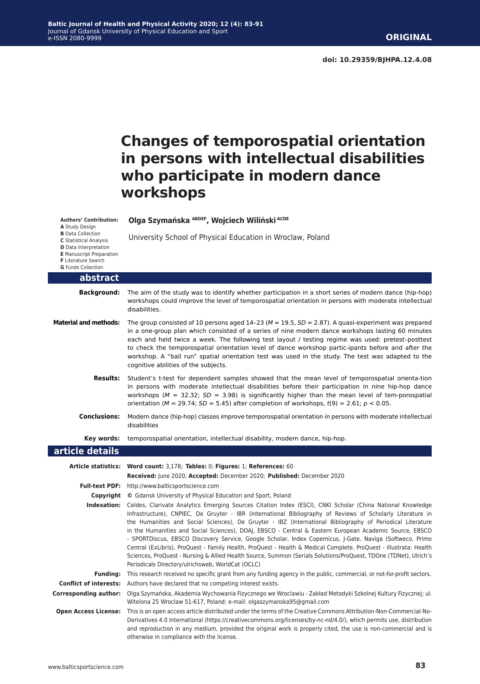# **Changes of temporospatial orientation in persons with intellectual disabilities who participate in modern dance workshops**

| <b>Authors' Contribution:</b><br>A Study Design                                                                                                                                  | Olga Szymańska ABDEF, Wojciech Wiliński ACDE                                                                                                                                                                                                                                                                                                                                                                                                                                                                                                                                                                                                                                                                                                    |
|----------------------------------------------------------------------------------------------------------------------------------------------------------------------------------|-------------------------------------------------------------------------------------------------------------------------------------------------------------------------------------------------------------------------------------------------------------------------------------------------------------------------------------------------------------------------------------------------------------------------------------------------------------------------------------------------------------------------------------------------------------------------------------------------------------------------------------------------------------------------------------------------------------------------------------------------|
| <b>B</b> Data Collection<br><b>C</b> Statistical Analysis<br>D Data Interpretation<br><b>E</b> Manuscript Preparation<br><b>F</b> Literature Search<br><b>G</b> Funds Collection | University School of Physical Education in Wroclaw, Poland                                                                                                                                                                                                                                                                                                                                                                                                                                                                                                                                                                                                                                                                                      |
| abstract                                                                                                                                                                         |                                                                                                                                                                                                                                                                                                                                                                                                                                                                                                                                                                                                                                                                                                                                                 |
| <b>Background:</b>                                                                                                                                                               | The aim of the study was to identify whether participation in a short series of modern dance (hip-hop)<br>workshops could improve the level of temporospatial orientation in persons with moderate intellectual<br>disabilities.                                                                                                                                                                                                                                                                                                                                                                                                                                                                                                                |
| <b>Material and methods:</b>                                                                                                                                                     | The group consisted of 10 persons aged 14-23 ( $M = 19.5$ , $SD = 2.87$ ). A quasi-experiment was prepared<br>in a one-group plan which consisted of a series of nine modern dance workshops lasting 60 minutes<br>each and held twice a week. The following test layout / testing regime was used: pretest-posttest<br>to check the temporospatial orientation level of dance workshop partic-ipants before and after the<br>workshop. A "ball run" spatial orientation test was used in the study. The test was adapted to the<br>cognitive abilities of the subjects.                                                                                                                                                                        |
| <b>Results:</b>                                                                                                                                                                  | Student's t-test for dependent samples showed that the mean level of temporospatial orienta-tion<br>in persons with moderate intellectual disabilities before their participation in nine hip-hop dance<br>workshops ( $M = 32.32$ ; $SD = 3.98$ ) is significantly higher than the mean level of tem-porospatial<br>orientation ( $M = 29.74$ ; $SD = 5.45$ ) after completion of workshops, $t(9) = 2.61$ ; $p < 0.05$ .                                                                                                                                                                                                                                                                                                                      |
| <b>Conclusions:</b>                                                                                                                                                              | Modern dance (hip-hop) classes improve temporospatial orientation in persons with moderate intellectual<br>disabilities                                                                                                                                                                                                                                                                                                                                                                                                                                                                                                                                                                                                                         |
| Key words:                                                                                                                                                                       | temporospatial orientation, intellectual disability, modern dance, hip-hop.                                                                                                                                                                                                                                                                                                                                                                                                                                                                                                                                                                                                                                                                     |
| article details                                                                                                                                                                  |                                                                                                                                                                                                                                                                                                                                                                                                                                                                                                                                                                                                                                                                                                                                                 |
|                                                                                                                                                                                  | Article statistics: Word count: 3,178; Tables: 0; Figures: 1; References: 60                                                                                                                                                                                                                                                                                                                                                                                                                                                                                                                                                                                                                                                                    |
|                                                                                                                                                                                  | Received: June 2020; Accepted: December 2020; Published: December 2020                                                                                                                                                                                                                                                                                                                                                                                                                                                                                                                                                                                                                                                                          |
|                                                                                                                                                                                  | Full-text PDF: http://www.balticsportscience.com                                                                                                                                                                                                                                                                                                                                                                                                                                                                                                                                                                                                                                                                                                |
|                                                                                                                                                                                  | Copyright © Gdansk University of Physical Education and Sport, Poland<br>Indexation: Celdes, Clarivate Analytics Emerging Sources Citation Index (ESCI), CNKI Scholar (China National Knowledge                                                                                                                                                                                                                                                                                                                                                                                                                                                                                                                                                 |
|                                                                                                                                                                                  | Infrastructure), CNPIEC, De Gruyter - IBR (International Bibliography of Reviews of Scholarly Literature in<br>the Humanities and Social Sciences), De Gruyter - IBZ (International Bibliography of Periodical Literature<br>in the Humanities and Social Sciences), DOAJ, EBSCO - Central & Eastern European Academic Source, EBSCO<br>- SPORTDiscus, EBSCO Discovery Service, Google Scholar, Index Copernicus, J-Gate, Naviga (Softweco, Primo<br>Central (ExLibris), ProQuest - Family Health, ProQuest - Health & Medical Complete, ProQuest - Illustrata: Health<br>Sciences, ProQuest - Nursing & Allied Health Source, Summon (Serials Solutions/ProQuest, TDOne (TDNet), Ulrich's<br>Periodicals Directory/ulrichsweb, WorldCat (OCLC) |
| <b>Funding:</b>                                                                                                                                                                  | This research received no specific grant from any funding agency in the public, commercial, or not-for-profit sectors.                                                                                                                                                                                                                                                                                                                                                                                                                                                                                                                                                                                                                          |
| <b>Conflict of interests:</b>                                                                                                                                                    | Authors have declared that no competing interest exists.                                                                                                                                                                                                                                                                                                                                                                                                                                                                                                                                                                                                                                                                                        |
| <b>Corresponding author:</b>                                                                                                                                                     | Olga Szymańska, Akademia Wychowania Fizycznego we Wroclawiu - Zakład Metodyki Szkolnej Kultury Fizycznej; ul.<br>Witelona 25 Wroclaw 51-617, Poland; e-mail: olgaszymanska95@gmail.com                                                                                                                                                                                                                                                                                                                                                                                                                                                                                                                                                          |
| <b>Open Access License:</b>                                                                                                                                                      | This is an open access article distributed under the terms of the Creative Commons Attribution-Non-Commercial-No-<br>Derivatives 4.0 International (https://creativecommons.org/licenses/by-nc-nd/4.0/), which permits use, distribution<br>and reproduction in any medium, provided the original work is properly cited, the use is non-commercial and is<br>otherwise in compliance with the license.                                                                                                                                                                                                                                                                                                                                         |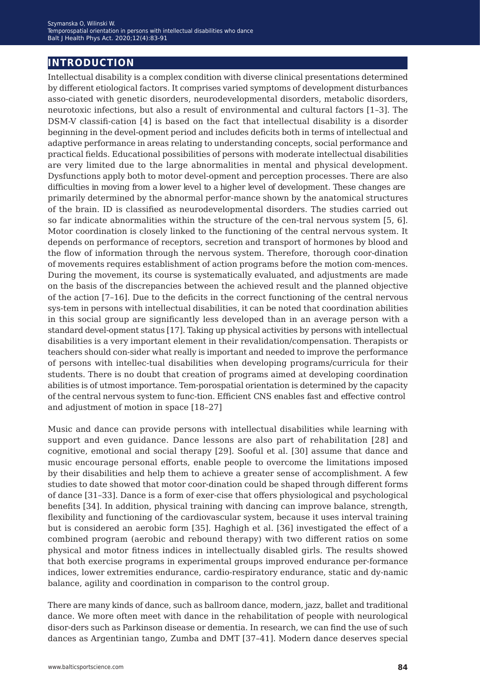## **introduction**

Intellectual disability is a complex condition with diverse clinical presentations determined by different etiological factors. It comprises varied symptoms of development disturbances asso-ciated with genetic disorders, neurodevelopmental disorders, metabolic disorders, neurotoxic infections, but also a result of environmental and cultural factors [1–3]. The DSM-V classifi-cation [4] is based on the fact that intellectual disability is a disorder beginning in the devel-opment period and includes deficits both in terms of intellectual and adaptive performance in areas relating to understanding concepts, social performance and practical fields. Educational possibilities of persons with moderate intellectual disabilities are very limited due to the large abnormalities in mental and physical development. Dysfunctions apply both to motor devel-opment and perception processes. There are also difficulties in moving from a lower level to a higher level of development. These changes are primarily determined by the abnormal perfor-mance shown by the anatomical structures of the brain. ID is classified as neurodevelopmental disorders. The studies carried out so far indicate abnormalities within the structure of the cen-tral nervous system [5, 6]. Motor coordination is closely linked to the functioning of the central nervous system. It depends on performance of receptors, secretion and transport of hormones by blood and the flow of information through the nervous system. Therefore, thorough coor-dination of movements requires establishment of action programs before the motion com-mences. During the movement, its course is systematically evaluated, and adjustments are made on the basis of the discrepancies between the achieved result and the planned objective of the action [7–16]. Due to the deficits in the correct functioning of the central nervous sys-tem in persons with intellectual disabilities, it can be noted that coordination abilities in this social group are significantly less developed than in an average person with a standard devel-opment status [17]. Taking up physical activities by persons with intellectual disabilities is a very important element in their revalidation/compensation. Therapists or teachers should con-sider what really is important and needed to improve the performance of persons with intellec-tual disabilities when developing programs/curricula for their students. There is no doubt that creation of programs aimed at developing coordination abilities is of utmost importance. Tem-porospatial orientation is determined by the capacity of the central nervous system to func-tion. Efficient CNS enables fast and effective control and adjustment of motion in space [18–27]

Music and dance can provide persons with intellectual disabilities while learning with support and even guidance. Dance lessons are also part of rehabilitation [28] and cognitive, emotional and social therapy [29]. Sooful et al. [30] assume that dance and music encourage personal efforts, enable people to overcome the limitations imposed by their disabilities and help them to achieve a greater sense of accomplishment. A few studies to date showed that motor coor-dination could be shaped through different forms of dance [31–33]. Dance is a form of exer-cise that offers physiological and psychological benefits [34]. In addition, physical training with dancing can improve balance, strength, flexibility and functioning of the cardiovascular system, because it uses interval training but is considered an aerobic form [35]. Haghigh et al. [36] investigated the effect of a combined program (aerobic and rebound therapy) with two different ratios on some physical and motor fitness indices in intellectually disabled girls. The results showed that both exercise programs in experimental groups improved endurance per-formance indices, lower extremities endurance, cardio-respiratory endurance, static and dy-namic balance, agility and coordination in comparison to the control group.

There are many kinds of dance, such as ballroom dance, modern, jazz, ballet and traditional dance. We more often meet with dance in the rehabilitation of people with neurological disor-ders such as Parkinson disease or dementia. In research, we can find the use of such dances as Argentinian tango, Zumba and DMT [37–41]. Modern dance deserves special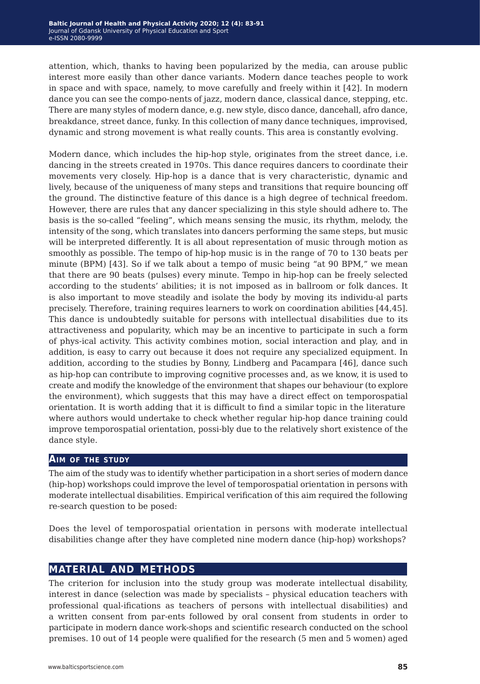attention, which, thanks to having been popularized by the media, can arouse public interest more easily than other dance variants. Modern dance teaches people to work in space and with space, namely, to move carefully and freely within it [42]. In modern dance you can see the compo-nents of jazz, modern dance, classical dance, stepping, etc. There are many styles of modern dance, e.g. new style, disco dance, dancehall, afro dance, breakdance, street dance, funky. In this collection of many dance techniques, improvised, dynamic and strong movement is what really counts. This area is constantly evolving.

Modern dance, which includes the hip-hop style, originates from the street dance, i.e. dancing in the streets created in 1970s. This dance requires dancers to coordinate their movements very closely. Hip-hop is a dance that is very characteristic, dynamic and lively, because of the uniqueness of many steps and transitions that require bouncing off the ground. The distinctive feature of this dance is a high degree of technical freedom. However, there are rules that any dancer specializing in this style should adhere to. The basis is the so-called "feeling", which means sensing the music, its rhythm, melody, the intensity of the song, which translates into dancers performing the same steps, but music will be interpreted differently. It is all about representation of music through motion as smoothly as possible. The tempo of hip-hop music is in the range of 70 to 130 beats per minute (BPM) [43]. So if we talk about a tempo of music being "at 90 BPM," we mean that there are 90 beats (pulses) every minute. Tempo in hip-hop can be freely selected according to the students' abilities; it is not imposed as in ballroom or folk dances. It is also important to move steadily and isolate the body by moving its individu-al parts precisely. Therefore, training requires learners to work on coordination abilities [44,45]. This dance is undoubtedly suitable for persons with intellectual disabilities due to its attractiveness and popularity, which may be an incentive to participate in such a form of phys-ical activity. This activity combines motion, social interaction and play, and in addition, is easy to carry out because it does not require any specialized equipment. In addition, according to the studies by Bonny, Lindberg and Pacampara [46], dance such as hip-hop can contribute to improving cognitive processes and, as we know, it is used to create and modify the knowledge of the environment that shapes our behaviour (to explore the environment), which suggests that this may have a direct effect on temporospatial orientation. It is worth adding that it is difficult to find a similar topic in the literature where authors would undertake to check whether regular hip-hop dance training could improve temporospatial orientation, possi-bly due to the relatively short existence of the dance style.

#### **Aim of the study**

The aim of the study was to identify whether participation in a short series of modern dance (hip-hop) workshops could improve the level of temporospatial orientation in persons with moderate intellectual disabilities. Empirical verification of this aim required the following re-search question to be posed:

Does the level of temporospatial orientation in persons with moderate intellectual disabilities change after they have completed nine modern dance (hip-hop) workshops?

### **material and methods**

The criterion for inclusion into the study group was moderate intellectual disability, interest in dance (selection was made by specialists – physical education teachers with professional qual-ifications as teachers of persons with intellectual disabilities) and a written consent from par-ents followed by oral consent from students in order to participate in modern dance work-shops and scientific research conducted on the school premises. 10 out of 14 people were qualified for the research (5 men and 5 women) aged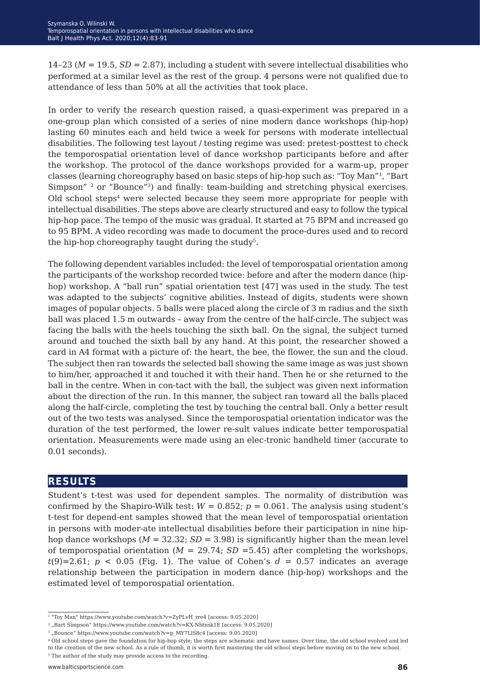14–23 (*M* = 19.5, *SD* = 2.87), including a student with severe intellectual disabilities who performed at a similar level as the rest of the group. 4 persons were not qualified due to attendance of less than 50% at all the activities that took place.

In order to verify the research question raised, a quasi-experiment was prepared in a one-group plan which consisted of a series of nine modern dance workshops (hip-hop) lasting 60 minutes each and held twice a week for persons with moderate intellectual disabilities. The following test layout / testing regime was used: pretest-posttest to check the temporospatial orientation level of dance workshop participants before and after the workshop. The protocol of the dance workshops provided for a warm-up, proper classes (learning choreography based on basic steps of hip-hop such as: "Toy Man"1, "Bart Simpson" <sup>2</sup> or "Bounce"<sup>3</sup>) and finally: team-building and stretching physical exercises. Old school steps<sup>4</sup> were selected because they seem more appropriate for people with intellectual disabilities. The steps above are clearly structured and easy to follow the typical hip-hop pace. The tempo of the music was gradual. It started at 75 BPM and increased go to 95 BPM. A video recording was made to document the proce-dures used and to record the hip-hop choreography taught during the study5.

The following dependent variables included: the level of temporospatial orientation among the participants of the workshop recorded twice: before and after the modern dance (hiphop) workshop. A "ball run" spatial orientation test [47] was used in the study. The test was adapted to the subjects' cognitive abilities. Instead of digits, students were shown images of popular objects. 5 balls were placed along the circle of 3 m radius and the sixth ball was placed 1.5 m outwards – away from the centre of the half-circle. The subject was facing the balls with the heels touching the sixth ball. On the signal, the subject turned around and touched the sixth ball by any hand. At this point, the researcher showed a card in A4 format with a picture of: the heart, the bee, the flower, the sun and the cloud. The subject then ran towards the selected ball showing the same image as was just shown to him/her, approached it and touched it with their hand. Then he or she returned to the ball in the centre. When in con-tact with the ball, the subject was given next information about the direction of the run. In this manner, the subject ran toward all the balls placed along the half-circle, completing the test by touching the central ball. Only a better result out of the two tests was analysed. Since the temporospatial orientation indicator was the duration of the test performed, the lower re-sult values indicate better temporospatial orientation. Measurements were made using an elec-tronic handheld timer (accurate to 0.01 seconds).

#### **results**

Student's t-test was used for dependent samples. The normality of distribution was confirmed by the Shapiro-Wilk test:  $W = 0.852$ ;  $p = 0.061$ . The analysis using student's t-test for depend-ent samples showed that the mean level of temporospatial orientation in persons with moder-ate intellectual disabilities before their participation in nine hiphop dance workshops ( $M = 32.32$ ;  $SD = 3.98$ ) is significantly higher than the mean level of temporospatial orientation ( $M = 29.74$ ;  $SD = 5.45$ ) after completing the workshops,  $t(9)=2.61; p < 0.05$  (Fig. 1). The value of Cohen's  $d = 0.57$  indicates an average relationship between the participation in modern dance (hip-hop) workshops and the estimated level of temporospatial orientation.

4 Old school steps gave the foundation for hip-hop style; the steps are schematic and have names. Over time, the old school evolved and led to the creation of the new school. As a rule of thumb, it is worth first mastering the old school steps before moving on to the new school. <sup>5</sup> The author of the study may provide access to the recording.

<sup>1 &</sup>quot;Toy Man" https://www.youtube.com/watch?v=ZyPLvH\_rre4 [access: 9.05.2020]

<sup>&</sup>lt;sup>2</sup> "Bart Simpson" https://www.youtube.com/watch?v=KX-Nbtnsk1E [access: 9.05.2020]

 $^3$  "Bounce" https://www.youtube.com/watch?v=p\_MY7LlS8c4 [access:  $9.05.2020]\,$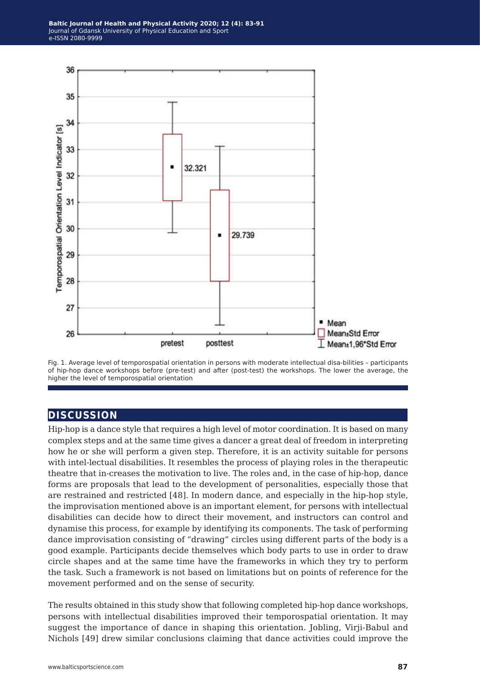

Fig. 1. Average level of temporospatial orientation in persons with moderate intellectual disa-bilities – participants of hip-hop dance workshops before (pre-test) and after (post-test) the workshops. The lower the average, the higher the level of temporospatial orientation

## **discussion**

Hip-hop is a dance style that requires a high level of motor coordination. It is based on many complex steps and at the same time gives a dancer a great deal of freedom in interpreting how he or she will perform a given step. Therefore, it is an activity suitable for persons with intel-lectual disabilities. It resembles the process of playing roles in the therapeutic theatre that in-creases the motivation to live. The roles and, in the case of hip-hop, dance forms are proposals that lead to the development of personalities, especially those that are restrained and restricted [48]. In modern dance, and especially in the hip-hop style, the improvisation mentioned above is an important element, for persons with intellectual disabilities can decide how to direct their movement, and instructors can control and dynamise this process, for example by identifying its components. The task of performing dance improvisation consisting of "drawing" circles using different parts of the body is a good example. Participants decide themselves which body parts to use in order to draw circle shapes and at the same time have the frameworks in which they try to perform the task. Such a framework is not based on limitations but on points of reference for the movement performed and on the sense of security.

The results obtained in this study show that following completed hip-hop dance workshops, persons with intellectual disabilities improved their temporospatial orientation. It may suggest the importance of dance in shaping this orientation. Jobling, Virji-Babul and Nichols [49] drew similar conclusions claiming that dance activities could improve the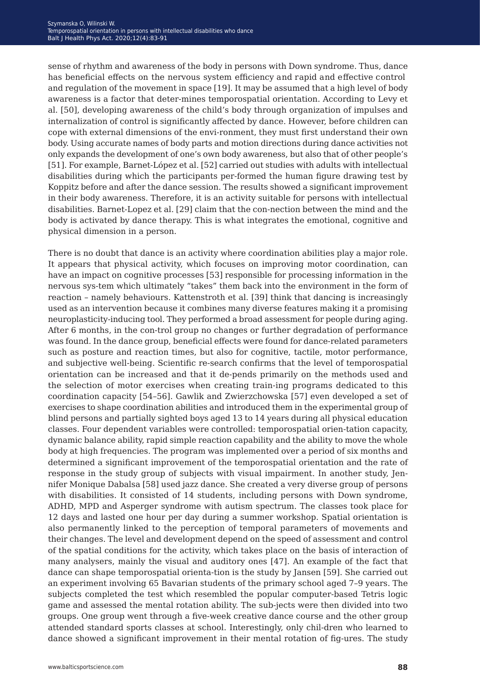sense of rhythm and awareness of the body in persons with Down syndrome. Thus, dance has beneficial effects on the nervous system efficiency and rapid effective control and regulation of the movement in space [19]. It may be assumed that a high level of body awareness is a factor that deter-mines temporospatial orientation. According to Levy et al. [50], developing awareness of the child's body through organization of impulses and internalization of control is significantly affected by dance. However, before children can cope with external dimensions of the envi-ronment, they must first understand their own body. Using accurate names of body parts and motion directions during dance activities not only expands the development of one's own body awareness, but also that of other people's [51]. For example, Barnet-López et al. [52] carried out studies with adults with intellectual disabilities during which the participants per-formed the human figure drawing test by Koppitz before and after the dance session. The results showed a significant improvement in their body awareness. Therefore, it is an activity suitable for persons with intellectual disabilities. Barnet-Lopez et al. [29] claim that the con-nection between the mind and the body is activated by dance therapy. This is what integrates the emotional, cognitive and physical dimension in a person.

There is no doubt that dance is an activity where coordination abilities play a major role. It appears that physical activity, which focuses on improving motor coordination, can have an impact on cognitive processes [53] responsible for processing information in the nervous sys-tem which ultimately "takes" them back into the environment in the form of reaction – namely behaviours. Kattenstroth et al. [39] think that dancing is increasingly used as an intervention because it combines many diverse features making it a promising neuroplasticity-inducing tool. They performed a broad assessment for people during aging. After 6 months, in the con-trol group no changes or further degradation of performance was found. In the dance group, beneficial effects were found for dance-related parameters such as posture and reaction times, but also for cognitive, tactile, motor performance, and subjective well-being. Scientific re-search confirms that the level of temporospatial orientation can be increased and that it de-pends primarily on the methods used and the selection of motor exercises when creating train-ing programs dedicated to this coordination capacity [54–56]. Gawlik and Zwierzchowska [57] even developed a set of exercises to shape coordination abilities and introduced them in the experimental group of blind persons and partially sighted boys aged 13 to 14 years during all physical education classes. Four dependent variables were controlled: temporospatial orien-tation capacity, dynamic balance ability, rapid simple reaction capability and the ability to move the whole body at high frequencies. The program was implemented over a period of six months and determined a significant improvement of the temporospatial orientation and the rate of response in the study group of subjects with visual impairment. In another study, Jennifer Monique Dabalsa [58] used jazz dance. She created a very diverse group of persons with disabilities. It consisted of 14 students, including persons with Down syndrome, ADHD, MPD and Asperger syndrome with autism spectrum. The classes took place for 12 days and lasted one hour per day during a summer workshop. Spatial orientation is also permanently linked to the perception of temporal parameters of movements and their changes. The level and development depend on the speed of assessment and control of the spatial conditions for the activity, which takes place on the basis of interaction of many analysers, mainly the visual and auditory ones [47]. An example of the fact that dance can shape temporospatial orienta-tion is the study by Jansen [59]. She carried out an experiment involving 65 Bavarian students of the primary school aged 7–9 years. The subjects completed the test which resembled the popular computer-based Tetris logic game and assessed the mental rotation ability. The sub-jects were then divided into two groups. One group went through a five-week creative dance course and the other group attended standard sports classes at school. Interestingly, only chil-dren who learned to dance showed a significant improvement in their mental rotation of fig-ures. The study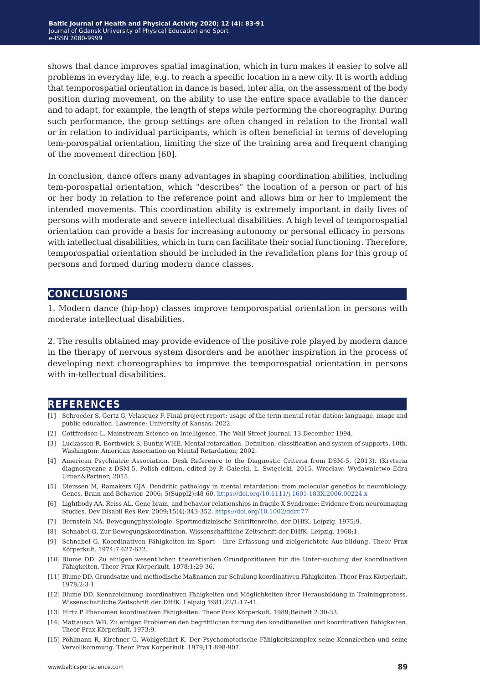shows that dance improves spatial imagination, which in turn makes it easier to solve all problems in everyday life, e.g. to reach a specific location in a new city. It is worth adding that temporospatial orientation in dance is based, inter alia, on the assessment of the body position during movement, on the ability to use the entire space available to the dancer and to adapt, for example, the length of steps while performing the choreography. During such performance, the group settings are often changed in relation to the frontal wall or in relation to individual participants, which is often beneficial in terms of developing tem-porospatial orientation, limiting the size of the training area and frequent changing of the movement direction [60].

In conclusion, dance offers many advantages in shaping coordination abilities, including tem-porospatial orientation, which "describes" the location of a person or part of his or her body in relation to the reference point and allows him or her to implement the intended movements. This coordination ability is extremely important in daily lives of persons with moderate and severe intellectual disabilities. A high level of temporospatial orientation can provide a basis for increasing autonomy or personal efficacy in persons with intellectual disabilities, which in turn can facilitate their social functioning. Therefore, temporospatial orientation should be included in the revalidation plans for this group of persons and formed during modern dance classes.

### **conclusions**

1. Modern dance (hip-hop) classes improve temporospatial orientation in persons with moderate intellectual disabilities.

2. The results obtained may provide evidence of the positive role played by modern dance in the therapy of nervous system disorders and be another inspiration in the process of developing next choreographies to improve the temporospatial orientation in persons with in-tellectual disabilities.

#### **references**

- [1] Schroeder S, Gertz G, Velasquez F. Final project report: usage of the term mental retar-dation: language, image and public education. Lawrence: University of Kansas; 2022.
- [2] Gottfredson L. Mainstream Science on Intelligence. The Wall Street Journal. 13 December 1994.
- [3] Luckasson R, Borthwick S, Buntix WHE. Mental retardation. Definition, classification and system of supports. 10th. Washington: American Association on Mental Retardation; 2002.
- [4] American Psychiatric Association. Desk Reference to the Diagnostic Criteria from DSM-5, (2013). (Kryteria diagnostyczne z DSM-5, Polish edition, edited by P. Gałecki, Ł. Święcicki, 2015. Wrocław: Wydawnictwo Edra Urban&Partner; 2015.
- [5] Dierssen M, Ramakers GJA. Dendritic pathology in mental retardation: from molecular genetics to neurobiology. Genes, Brain and Behavior. 2006; 5(Suppl2):48-60.<https://doi.org/10.1111/j.1601-183X.2006.00224.x>
- [6] Lightbody AA, Reiss AL. Gene brain, and behavior relationships in fragile X Syndrome: Evidence from neuroimaging Studies. Dev Disabil Res Rev. 2009;15(4):343-352.<https://doi.org/10.1002/ddrr.77>
- [7] Bernstein NA. Bewegungphysiologie. Sportmedizinische Schriftenreihe, der DHfK. Leipzig. 1975;9.
- [8] Schnabel G. Zur Bewegungskoordination. Wissenschaftliche Zeitschrift der DHfK. Leipzig. 1968;1.
- [9] Schnabel G. Koordinativen Fähigkeiten im Sport ihre Erfassung und zielgerichtete Aus-bildung. Theor Prax Körperkult. 1974;7:627-632.
- [10] Blume DD. Zu einigen wesentlichen theoretischen Grundpozitionen für die Unter-suchung der koordinativen Fähigkeiten. Theor Prax Körperkult. 1978;1:29-36.
- [11] Blume DD. Grundsatze und methodische Maßnamen zur Schulung koordinativen Fähigkeiten. Theor Prax Körperkult. 1978;2:3-1
- [12] Blume DD. Kennzeichnung koordinativen Fähigkeiten und Möglichkeiten ihrer Herausbildung in Trainingprozess. Wissenschaftliche Zeitschrift der DHfK. Leipzig 1981;22/1:17-41.
- [13] Hirtz P. Phänomen koordinativen Fähigkeiten. Theor Prax Körperkult. 1989;Beiheft 2:30-33.
- [14] Mattausch WD. Zu einigen Problemen den begrifflichen fizirung den konditionellen und koordinativen Fähigkeiten. Theor Prax Körperkult. 1973;9.
- [15] Pöhlmann R, Kirchner G, Wohlgefahrt K. Der Psychomotorische Fähigkeitskomplex seine Kennziechen und seine Vervollkommung. Theor Prax Körperkult. 1979;11:898-907.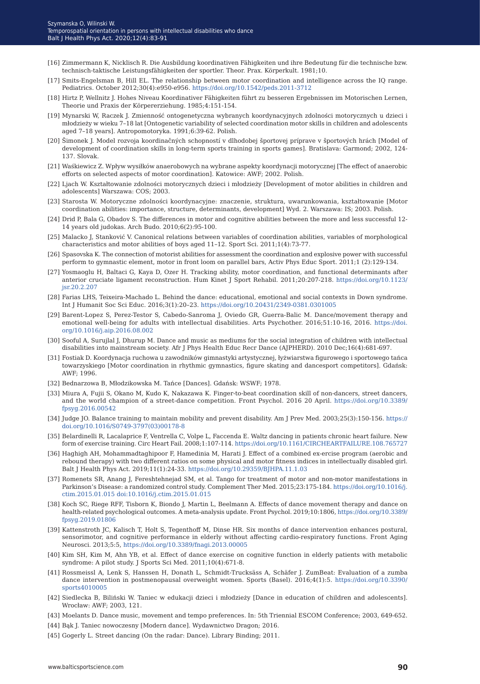- [16] Zimmermann K, Nicklisch R. Die Ausbildung koordinativen Fähigkeiten und ihre Bedeutung für die technische bzw. technisch-taktische Leistungsfähigkeiten der sportler. Theor. Prax. Körperkult. 1981;10.
- [17] Smits-Engelsman B, Hill EL. The relationship between motor coordination and intelligence across the IQ range. Pediatrics. October 2012;30(4):e950-e956.<https://doi.org/10.1542/peds.2011-3712>
- [18] Hirtz P, Wellnitz J. Hohes Niveau Koordinativer Fähigkeiten führt zu besseren Ergebnissen im Motorischen Lernen, Theorie und Praxis der Körpererziehung. 1985;4:151-154.
- [19] Mynarski W, Raczek J. Zmienność ontogenetyczna wybranych koordynacyjnych zdolności motorycznych u dzieci i młodzieży w wieku 7–18 lat [Ontogenetic variability of selected coordination motor skills in children and adolescents aged 7–18 years]. Antropomotoryka. 1991;6:39-62. Polish.
- [20] Šimonek J. Model rozvoja koordinačných schopností v dlhodobej športovej príprave v športových hrách [Model of development of coordination skills in long-term sports training in sports games]. Bratislava: Garmond; 2002, 124- 137. Slovak.
- [21] Waśkiewicz Z. Wpływ wysiłków anaerobowych na wybrane aspekty koordynacji motorycznej [The effect of anaerobic efforts on selected aspects of motor coordination]. Katowice: AWF; 2002. Polish.
- [22] Ljach W. Kształtowanie zdolności motorycznych dzieci i młodzieży [Development of motor abilities in children and adolescents] Warszawa: COS; 2003.
- [23] Starosta W. Motoryczne zdolności koordynacyjne: znaczenie, struktura, uwarunkowania, kształtowanie [Motor coordination abilities: importance, structure, determinants, development] Wyd. 2. Warszawa: IS; 2003. Polish.
- [24] Drid P, Bala G, Obadov S. The differences in motor and cognitive abilities between the more and less successful 12- 14 years old judokas. Arch Budo. 2010;6(2):95-100.
- [25] Malacko J, Stanković V. Canonical relations between variables of coordination abilities, variables of morphological characteristics and motor abilities of boys aged 11–12. Sport Sci. 2011;1(4):73-77.
- [26] Spasovska K. The connection of motorist abilities for assessment the coordination and explosive power with successful perform to gymnastic element, motor in front loom on parallel bars, Activ Phys Educ Sport. 2011;1 (2):129-134.
- [27] Yosmaoglu H, Baltaci G, Kaya D, Ozer H. Tracking ability, motor coordination, and functional determinants after anterior cruciate ligament reconstruction. Hum Kinet J Sport Rehabil. 2011;20:207-218. [https://doi.org/10.1123/](https://doi.org/10.1123/jsr.20.2.207) [jsr.20.2.207](https://doi.org/10.1123/jsr.20.2.207)
- [28] Farias LHS, Teixeira-Machado L. Behind the dance: educational, emotional and social contexts in Down syndrome. Int J Humanit Soc Sci Educ. 2016;3(1):20–23. [https://doi.org/10.20431/2349-0381.0301005](https://doi.org/10.20431/2349-0381.0301005 )
- [29] Barent-Lopez S, Perez-Testor S, Cabedo-Sanroma J, Oviedo GR, Guerra-Balic M. Dance/movement therapy and emotional well-being for adults with intellectual disabilities. Arts Psychother. 2016;51:10-16, 2016. [https://doi.](https://doi.org/10.1016/j.aip.2016.08.002 ) [org/10.1016/j.aip.2016.08.002](https://doi.org/10.1016/j.aip.2016.08.002 )
- [30] Sooful A, Surujlal J, Dhurup M. Dance and music as mediums for the social integration of children with intellectual disabilities into mainstream society. Afr J Phys Health Educ Recr Dance (AJPHERD). 2010 Dec;16(4):681-697.
- [31] Fostiak D. Koordynacja ruchowa u zawodników gimnastyki artystycznej, łyżwiarstwa figurowego i sportowego tańca towarzyskiego [Motor coordination in rhythmic gymnastics, figure skating and dancesport competitors]. Gdańsk: AWF; 1996.
- [32] Bednarzowa B, Młodzikowska M. Tańce [Dances]. Gdańsk: WSWF; 1978.
- [33] Miura A, Fujii S, Okano M, Kudo K, Nakazawa K. Finger-to-beat coordination skill of non-dancers, street dancers, and the world champion of a street-dance competition. Front Psychol. 2016 20 April. [https://doi.org/10.3389/](https://doi.org/10.3389/fpsyg.2016.00542 ) [fpsyg.2016.00542](https://doi.org/10.3389/fpsyg.2016.00542 )
- [34] Judge JO. Balance training to maintain mobility and prevent disability. Am J Prev Med. 2003;25(3):150-156. [https://](https://doi.org/10.1016/S0749-3797(03)00178-8) [doi.org/10.1016/S0749-3797\(03\)00178-8](https://doi.org/10.1016/S0749-3797(03)00178-8)
- [35] Belardinelli R, Lacalaprice F, Ventrella C, Volpe L, Faccenda E. Waltz dancing in patients chronic heart failure. New form of exercise training. Circ Heart Fail. 2008;1:107-114. [https://doi.org/10.1161/CIRCHEARTFAILURE.108.765727](https://doi.org/10.1161/CIRCHEARTFAILURE.108.765727 )
- [36] Haghigh AH, Mohammadtaghipoor F, Hamedinia M, Harati J. Effect of a combined ex-ercise program (aerobic and rebound therapy) with two different ratios on some physical and motor fitness indices in intellectually disabled girl. Balt J Health Phys Act. 2019;11(1):24-33. [https://doi.org/10.29359/BJHPA.11.1.03](https://doi.org/10.29359/BJHPA.11.1.03 )
- [37] Romenets SR, Anang J, Fereshtehnejad SM, et al. Tango for treatment of motor and non-motor manifestations in Parkinson's Disease: a randomized control study. Complement Ther Med. 2015;23:175-184. [https://doi.org/10.1016/j.](https://doi.org/10.1016/j.ctim.2015.01.015 doi:10.1016/j.ctim.2015.01.015 ) [ctim.2015.01.015 doi:10.1016/j.ctim.2015.01.015](https://doi.org/10.1016/j.ctim.2015.01.015 doi:10.1016/j.ctim.2015.01.015 )
- [38] Koch SC, Riege RFF, Tisborn K, Biondo J, Martin L, Beelmann A. Effects of dance movement therapy and dance on health-related psychological outcomes. A meta-analysis update. Front Psychol. 2019;10:1806, [https://doi.org/10.3389/](https://doi.org/10.3389/fpsyg.2019.01806 ) [fpsyg.2019.01806](https://doi.org/10.3389/fpsyg.2019.01806 )
- [39] Kattenstroth JC, Kalisch T, Holt S, Tegenthoff M, Dinse HR. Six months of dance intervention enhances postural, sensorimotor, and cognitive performance in elderly without affecting cardio-respiratory functions. Front Aging Neurosci. 2013;5:5, <https://doi.org/10.3389/fnagi.2013.00005>
- [40] Kim SH, Kim M, Ahn YB, et al. Effect of dance exercise on cognitive function in elderly patients with metabolic syndrome: A pilot study. J Sports Sci Med. 2011;10(4):671-8.
- [41] Rossmeissl A, Lenk S, Hanssen H, Donath L, Schmidt-Trucksäss A, Schäfer J. ZumBeat: Evaluation of a zumba dance intervention in postmenopausal overweight women. Sports (Basel). 2016;4(1):5. [https://doi.org/10.3390/](https://doi.org/10.3390/sports4010005 ) [sports4010005](https://doi.org/10.3390/sports4010005 )
- [42] Siedlecka B, Biliński W. Taniec w edukacji dzieci i młodzieży [Dance in education of children and adolescents]. Wrocław: AWF; 2003, 121.
- [43] Moelants D. Dance music, movement and tempo preferences. In: 5th Triennial ESCOM Conference; 2003, 649-652.
- [44] Bąk J. Taniec nowoczesny [Modern dance]. Wydawnictwo Dragon; 2016.
- [45] Gogerly L. Street dancing (On the radar: Dance). Library Binding; 2011.